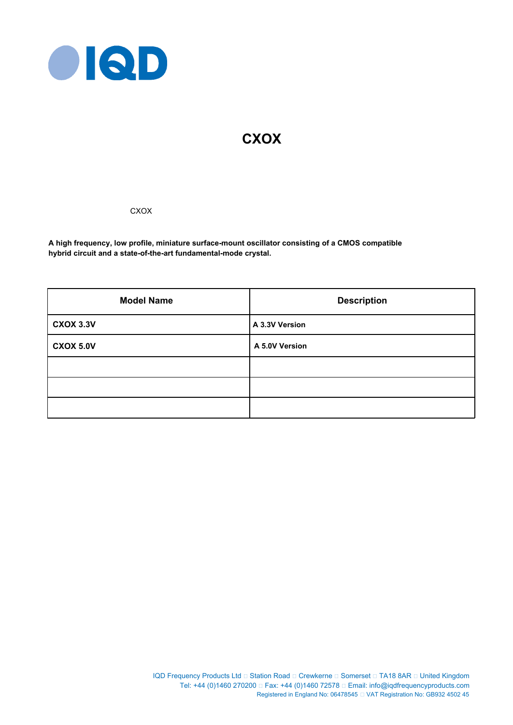

# **CXOX**

**CXOX** 

**A high frequency, low profile, miniature surface-mount oscillator consisting of a CMOS compatible hybrid circuit and a state-of-the-art fundamental-mode crystal.**

| <b>Model Name</b> | <b>Description</b> |  |  |
|-------------------|--------------------|--|--|
| <b>CXOX 3.3V</b>  | A 3.3V Version     |  |  |
| <b>CXOX 5.0V</b>  | A 5.0V Version     |  |  |
|                   |                    |  |  |
|                   |                    |  |  |
|                   |                    |  |  |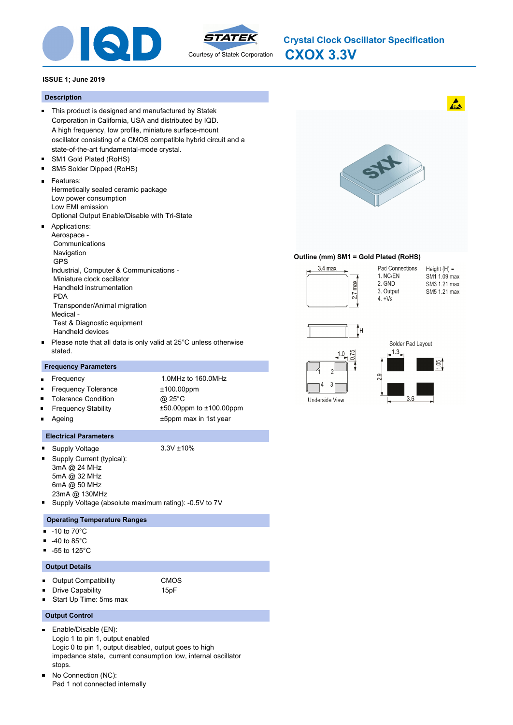



**CXOX 3.3V Crystal Clock Oscillator Specification**

## **ISSUE 1; June 2019**

#### **Description**

- This product is designed and manufactured by Statek Corporation in California, USA and distributed by IQD. A high frequency, low profile, miniature surface-mount oscillator consisting of a CMOS compatible hybrid circuit and a state-of-the-art fundamental-mode crystal.
- $\blacksquare$ SM1 Gold Plated (RoHS)
- SM5 Solder Dipped (RoHS)  $\blacksquare$
- Features:
	- Hermetically sealed ceramic package Low power consumption Low EMI emission Optional Output Enable/Disable with Tri-State
- Applications: Aerospace - Communications Navigation GPS Industrial, Computer & Communications - Miniature clock oscillator Handheld instrumentation PDA Transponder/Animal migration
- Medical Test & Diagnostic equipment Handheld devices
- Please note that all data is only valid at 25°C unless otherwise stated.

#### **Frequency Parameters**

| $\blacksquare$ | Frequency                  | 1.0MHz to 160.0MHz            |
|----------------|----------------------------|-------------------------------|
| $\blacksquare$ | <b>Frequency Tolerance</b> | $±100.00$ ppm                 |
| $\blacksquare$ | <b>Tolerance Condition</b> | @ 25°C                        |
| $\blacksquare$ | <b>Frequency Stability</b> | $±50.00$ ppm to $±100.00$ ppm |
| $\blacksquare$ | Ageing                     | ±5ppm max in 1st year         |
|                |                            |                               |

#### **Electrical Parameters**

- $\blacksquare$ Supply Voltage 3.3V ±10%
- 
- Supply Current (typical): m. 3mA @ 24 MHz
	- 5mA @ 32 MHz
	- 6mA @ 50 MHz 23mA @ 130MHz
- Supply Voltage (absolute maximum rating): -0.5V to 7V

#### **Operating Temperature Ranges**

- $-10$  to  $70^{\circ}$ C
- -40 to 85°C
- $-55$  to 125 $^{\circ}$ C

### **Output Details**

- **Dutput Compatibility** CMOS
	- Drive Capability **15pF**
- Start Up Time: 5ms max

#### **Output Control**

- $\blacksquare$ Enable/Disable (EN): Logic 1 to pin 1, output enabled Logic 0 to pin 1, output disabled, output goes to high impedance state, current consumption low, internal oscillator stops.
- $\blacksquare$ No Connection (NC): Pad 1 not connected internally



### **Outline (mm) SM1 = Gold Plated (RoHS)**



Pad Connections Height  $(H) =$ 1. NC/EN SM1 1.09 max 2. GND SM3 1.21 max 3. Output SM5 1.21 max  $4. +Vs$ 



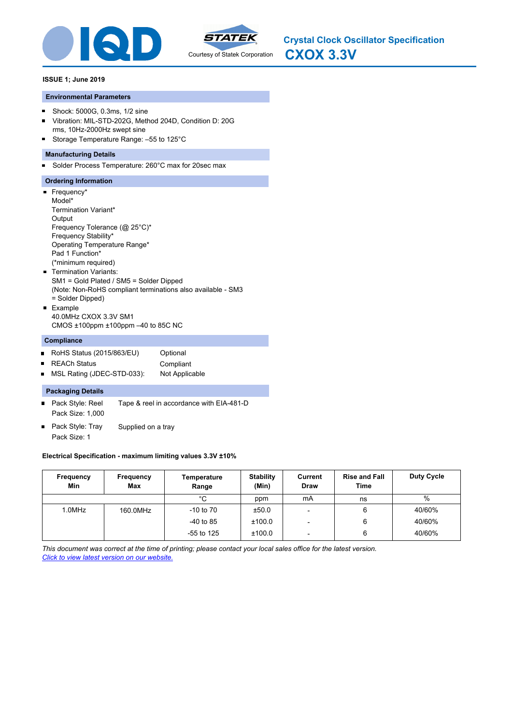



## **ISSUE 1; June 2019**

## **Environmental Parameters**

- Shock: 5000G, 0.3ms, 1/2 sine  $\blacksquare$
- Vibration: MIL-STD-202G, Method 204D, Condition D: 20G  $\blacksquare$ rms, 10Hz-2000Hz swept sine
- Storage Temperature Range: 55 to 125°C

## **Manufacturing Details**

Solder Process Temperature: 260°C max for 20sec max  $\blacksquare$ 

## **Ordering Information**

Frequency\* Model\* Termination Variant\* **Output** Frequency Tolerance (@ 25°C)\* Frequency Stability\* Operating Temperature Range\* Pad 1 Function\* (\*minimum required) **Termination Variants:** SM1 = Gold Plated / SM5 = Solder Dipped (Note: Non-RoHS compliant terminations also available - SM3 = Solder Dipped) Example 40.0MHz CXOX 3.3V SM1

CMOS ±100ppm ±100ppm –40 to 85C NC

## **Compliance**

- RoHS Status (2015/863/EU) Optional
- REACh Status **Compliant**  $\blacksquare$
- MSL Rating (JDEC-STD-033): Not Applicable  $\blacksquare$

## **Packaging Details**

- Pack Style: Reel Tape & reel in accordance with EIA-481-D Pack Size: 1,000
- Pack Style: Tray Supplied on a tray  $\blacksquare$ Pack Size: 1

## **Electrical Specification - maximum limiting values 3.3V ±10%**

| Frequency<br>Min | Frequency<br>Max | Temperature<br>Range | <b>Stability</b><br>(Min) | Current<br><b>Draw</b>   | <b>Rise and Fall</b><br>Time | <b>Duty Cycle</b> |
|------------------|------------------|----------------------|---------------------------|--------------------------|------------------------------|-------------------|
|                  |                  | °C                   | ppm                       | mA                       | ns                           | %                 |
| 1.0MHz           | 160.0MHz         | $-10$ to $70$        | ±50.0                     | $\overline{\phantom{0}}$ | 6                            | 40/60%            |
|                  |                  | $-40$ to 85          | ±100.0                    | $\overline{\phantom{0}}$ | 6                            | 40/60%            |
|                  |                  | $-55$ to 125         | ±100.0                    | -                        | 6                            | 40/60%            |

*This document was correct at the time of printing; please contact your local sales office for the latest version. Click to view latest version on our website.*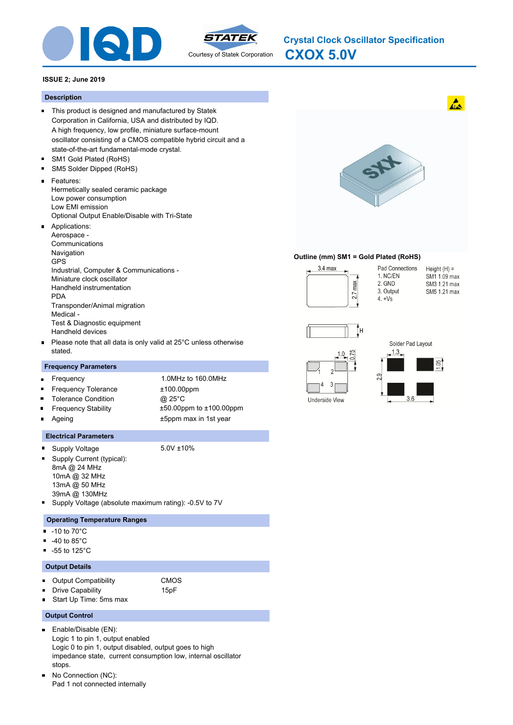



**CXOX 5.0V Crystal Clock Oscillator Specification**

## **ISSUE 2; June 2019**

#### **Description**

- This product is designed and manufactured by Statek Corporation in California, USA and distributed by IQD. A high frequency, low profile, miniature surface-mount oscillator consisting of a CMOS compatible hybrid circuit and a state-of-the-art fundamental-mode crystal.
- $\blacksquare$ SM1 Gold Plated (RoHS)
- SM5 Solder Dipped (RoHS)  $\blacksquare$
- Features:
- Hermetically sealed ceramic package Low power consumption Low EMI emission Optional Output Enable/Disable with Tri-State
- Applications: Aerospace - Communications **Navigation** GPS Industrial, Computer & Communications - Miniature clock oscillator Handheld instrumentation PDA Transponder/Animal migration Medical - Test & Diagnostic equipment Handheld devices
- Please note that all data is only valid at 25°C unless otherwise stated.

### **Frequency Parameters**

| $\blacksquare$ | Frequency                  | 1.0MHz to 160.0MHz            |
|----------------|----------------------------|-------------------------------|
|                | Frequency Tolerance        | $±100.00$ ppm                 |
| $\blacksquare$ | <b>Tolerance Condition</b> | @ 25°C                        |
| $\blacksquare$ | <b>Frequency Stability</b> | $±50.00$ ppm to $±100.00$ ppm |
| $\blacksquare$ | Ageing                     | ±5ppm max in 1st year         |
|                |                            |                               |

#### **Electrical Parameters**

 $\blacksquare$ Supply Voltage 5.0V ±10%

m.

- 
- Supply Current (typical): 8mA @ 24 MHz 10mA @ 32 MHz
- 
- 
- 13mA @ 50 MHz 39mA @ 130MHz
- Supply Voltage (absolute maximum rating): -0.5V to 7V

#### **Operating Temperature Ranges**

- $-10$  to  $70^{\circ}$ C
- -40 to 85°C
- $-55$  to 125 $^{\circ}$ C

#### **Output Details**

- **Dutput Compatibility** CMOS
	- Drive Capability **15pF**
- Start Up Time: 5ms max

#### **Output Control**

- $\blacksquare$ Enable/Disable (EN): Logic 1 to pin 1, output enabled Logic 0 to pin 1, output disabled, output goes to high impedance state, current consumption low, internal oscillator stops.
- $\blacksquare$ No Connection (NC): Pad 1 not connected internally



#### **Outline (mm) SM1 = Gold Plated (RoHS)**



Pad Connections Height  $(H) =$ 1. NC/EN SM1 1.09 max 2. GND SM3 1.21 max 3. Output SM5 1.21 max  $4. +Vs$ 



Underside View